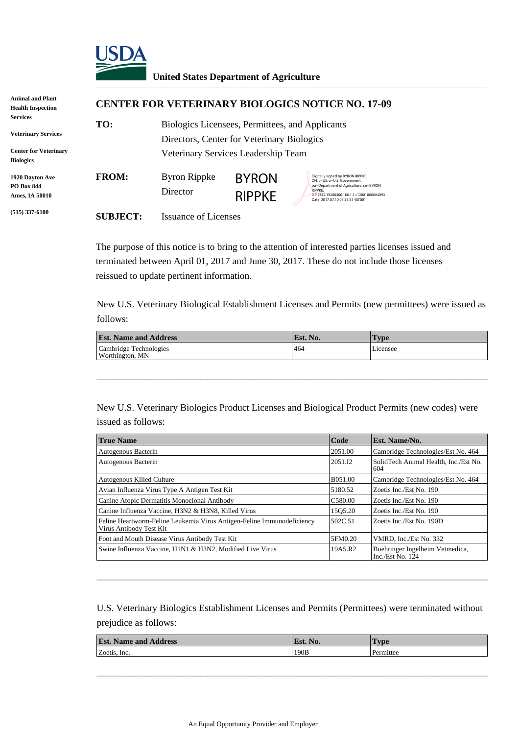

## **United States Department of Agriculture**

| Animal and Plant<br><b>Health Inspection</b>                                                      | <b>CENTER FOR VETERINARY BIOLOGICS NOTICE NO. 17-09</b> |                                                                                                                                      |                               |                                                                                                                                                                                                               |  |  |
|---------------------------------------------------------------------------------------------------|---------------------------------------------------------|--------------------------------------------------------------------------------------------------------------------------------------|-------------------------------|---------------------------------------------------------------------------------------------------------------------------------------------------------------------------------------------------------------|--|--|
| <b>Services</b><br><b>Veterinary Services</b><br><b>Center for Veterinary</b><br><b>Biologics</b> | TO:                                                     | Biologics Licensees, Permittees, and Applicants<br>Directors, Center for Veterinary Biologics<br>Veterinary Services Leadership Team |                               |                                                                                                                                                                                                               |  |  |
| <b>1920 Dayton Ave</b><br><b>PO Box 844</b><br>Ames, IA 50010                                     | <b>FROM:</b>                                            | <b>Byron Rippke</b><br>Director                                                                                                      | <b>BYRON</b><br><b>RIPPKE</b> | Digitally signed by BYRON RIPPKE<br>DN: c=US, o=U.S. Government.<br>ou=Department of Agriculture, cn=BYRON<br><b>RIPPKF.</b><br>0.9.2342.19200300.100.1.1=12001000004093<br>Date: 2017.07.10 07:55:51 -05'00' |  |  |
| $(515)$ 337-6100                                                                                  | <b>SUBJECT:</b>                                         | Issuance of Licenses                                                                                                                 |                               |                                                                                                                                                                                                               |  |  |

The purpose of this notice is to bring to the attention of interested parties licenses issued and terminated between April 01, 2017 and June 30, 2017. These do not include those licenses reissued to update pertinent information.

New U.S. Veterinary Biological Establishment Licenses and Permits (new permittees) were issued as follows:

| <b>Est. Name and Address</b>              | Est. No. | l'vpe    |
|-------------------------------------------|----------|----------|
| Cambridge Technologies<br>Worthington, MN | 464      | Licensee |

\_\_\_\_\_\_\_\_\_\_\_\_\_\_\_\_\_\_\_\_\_\_\_\_\_\_\_\_\_\_\_\_\_\_\_\_\_\_\_\_\_\_\_\_\_\_\_\_\_\_\_\_\_\_\_\_\_\_\_\_\_\_\_\_

New U.S. Veterinary Biologics Product Licenses and Biological Product Permits (new codes) were issued as follows:

| <b>True Name</b>                                                                                  | Code                | Est. Name/No.                                         |
|---------------------------------------------------------------------------------------------------|---------------------|-------------------------------------------------------|
| Autogenous Bacterin                                                                               | 2051.00             | Cambridge Technologies/Est No. 464                    |
| Autogenous Bacterin                                                                               | 2051.I2             | SolidTech Animal Health, Inc./Est No.<br>604          |
| Autogenous Killed Culture                                                                         | B051.00             | Cambridge Technologies/Est No. 464                    |
| Avian Influenza Virus Type A Antigen Test Kit                                                     | 5180.52             | Zoetis Inc./Est No. 190                               |
| Canine Atopic Dermatitis Monoclonal Antibody                                                      | C <sub>580.00</sub> | Zoetis Inc./Est No. 190                               |
| Canine Influenza Vaccine, H3N2 & H3N8, Killed Virus                                               | 1505.20             | Zoetis Inc./Est No. 190                               |
| Feline Heartworm-Feline Leukemia Virus Antigen-Feline Immunodeficiency<br>Virus Antibody Test Kit | 502C.51             | Zoetis Inc./Est No. 190D                              |
| Foot and Mouth Disease Virus Antibody Test Kit                                                    | 5FM0.20             | VMRD. Inc./Est No. 332                                |
| Swine Influenza Vaccine, H1N1 & H3N2, Modified Live Virus                                         | 19A5.R2             | Boehringer Ingelheim Vetmedica,<br>Inc./Est No. $124$ |

U.S. Veterinary Biologics Establishment Licenses and Permits (Permittees) were terminated without prejudice as follows:

\_\_\_\_\_\_\_\_\_\_\_\_\_\_\_\_\_\_\_\_\_\_\_\_\_\_\_\_\_\_\_\_\_\_\_\_\_\_\_\_\_\_\_\_\_\_\_\_\_\_\_\_\_\_\_\_\_\_\_\_\_\_\_\_

| <b>Est. Name and Address</b><br>No.<br>Est | 'Type     |
|--------------------------------------------|-----------|
| 190B<br>Zoetis, Inc.                       | Permittee |
|                                            |           |

\_\_\_\_\_\_\_\_\_\_\_\_\_\_\_\_\_\_\_\_\_\_\_\_\_\_\_\_\_\_\_\_\_\_\_\_\_\_\_\_\_\_\_\_\_\_\_\_\_\_\_\_\_\_\_\_\_\_\_\_\_\_\_\_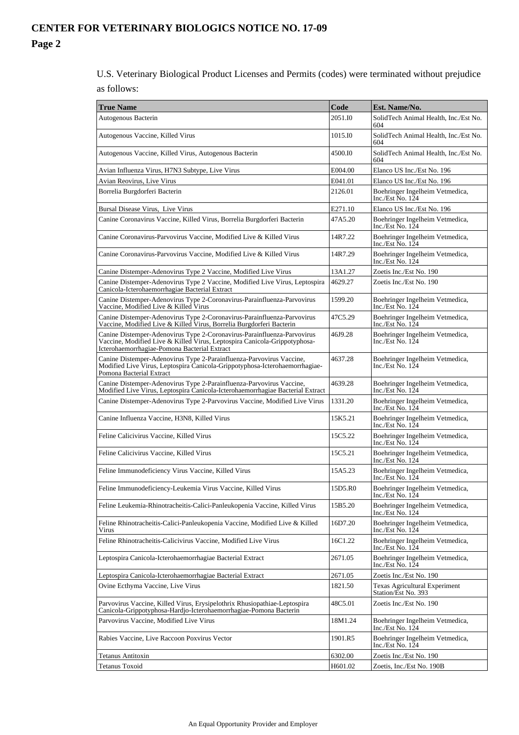U.S. Veterinary Biological Product Licenses and Permits (codes) were terminated without prejudice as follows:

| <b>True Name</b>                                                                                                                                                                                     | Code    | Est. Name/No.                                                     |
|------------------------------------------------------------------------------------------------------------------------------------------------------------------------------------------------------|---------|-------------------------------------------------------------------|
| Autogenous Bacterin                                                                                                                                                                                  | 2051.IO | SolidTech Animal Health, Inc./Est No.<br>604                      |
| Autogenous Vaccine, Killed Virus                                                                                                                                                                     | 1015.10 | SolidTech Animal Health, Inc./Est No.<br>604                      |
| Autogenous Vaccine, Killed Virus, Autogenous Bacterin                                                                                                                                                | 4500.IO | SolidTech Animal Health, Inc./Est No.<br>604                      |
| Avian Influenza Virus, H7N3 Subtype, Live Virus                                                                                                                                                      | E004.00 | Elanco US Inc./Est No. 196                                        |
| Avian Reovirus, Live Virus                                                                                                                                                                           | E041.01 | Elanco US Inc./Est No. 196                                        |
| Borrelia Burgdorferi Bacterin                                                                                                                                                                        | 2126.01 | Boehringer Ingelheim Vetmedica,<br>Inc./Est No. 124               |
| Bursal Disease Virus, Live Virus                                                                                                                                                                     | E271.10 | Elanco US Inc./Est No. 196                                        |
| Canine Coronavirus Vaccine, Killed Virus, Borrelia Burgdorferi Bacterin                                                                                                                              | 47A5.20 | Boehringer Ingelheim Vetmedica,<br>Inc./Est $\overline{N}$ o. 124 |
| Canine Coronavirus-Parvovirus Vaccine, Modified Live & Killed Virus                                                                                                                                  | 14R7.22 | Boehringer Ingelheim Vetmedica,<br>Inc./Est No. $124$             |
| Canine Coronavirus-Parvovirus Vaccine, Modified Live & Killed Virus                                                                                                                                  | 14R7.29 | Boehringer Ingelheim Vetmedica,<br>Inc./Est No. 124               |
| Canine Distemper-Adenovirus Type 2 Vaccine, Modified Live Virus                                                                                                                                      | 13A1.27 | Zoetis Inc./Est No. 190                                           |
| Canine Distemper-Adenovirus Type 2 Vaccine, Modified Live Virus, Leptospira Canicola-Icterohaemorrhagiae Bacterial Extract                                                                           | 4629.27 | Zoetis Inc./Est No. 190                                           |
| Canine Distemper-Adenovirus Type 2-Coronavirus-Parainfluenza-Parvovirus<br>Vaccine. Modified Live & Killed Virus                                                                                     | 1599.20 | Boehringer Ingelheim Vetmedica,<br>Inc./Est $No. 124$             |
| Canine Distemper-Adenovirus Type 2-Coronavirus-Parainfluenza-Parvovirus<br>Vaccine, Modified Live & Killed Virus, Borrelia Burgdorferi Bacterin                                                      | 47C5.29 | Boehringer Ingelheim Vetmedica,<br>Inc./Est $\overline{N}$ o. 124 |
| Canine Distemper-Adenovirus Type 2-Coronavirus-Parainfluenza-Parvovirus<br>Vaccine, Modified Live & Killed Virus, Leptospira Canicola-Grippotyphosa-<br>Icterohaemorrhagiae-Pomona Bacterial Extract | 46J9.28 | Boehringer Ingelheim Vetmedica,<br>Inc./Est $\overline{N}$ o. 124 |
| Canine Distemper-Adenovirus Type 2-Parainfluenza-Parvovirus Vaccine,<br>Modified Live Virus, Leptospira Canicola-Grippotyphosa-Icterohaemorrhagiae-<br>Pomona Bacterial Extract                      | 4637.28 | Boehringer Ingelheim Vetmedica,<br>Inc./Est $\overline{N}$ o. 124 |
| Canine Distemper-Adenovirus Type 2-Parainfluenza-Parvovirus Vaccine,<br>Modified Live Virus, Leptospira Canicola-Icterohaemorrhagiae Bacterial Extract                                               | 4639.28 | Boehringer Ingelheim Vetmedica,<br>Inc./Est $\overline{N}$ o. 124 |
| Canine Distemper-Adenovirus Type 2-Parvovirus Vaccine, Modified Live Virus                                                                                                                           | 1331.20 | Boehringer Ingelheim Vetmedica,<br>Inc./Est No. 124               |
| Canine Influenza Vaccine, H3N8, Killed Virus                                                                                                                                                         | 15K5.21 | Boehringer Ingelheim Vetmedica,<br>Inc./Est $No. 124$             |
| Feline Calicivirus Vaccine, Killed Virus                                                                                                                                                             | 15C5.22 | Boehringer Ingelheim Vetmedica,<br>Inc./Est $\overline{N}$ o. 124 |
| Feline Calicivirus Vaccine, Killed Virus                                                                                                                                                             | 15C5.21 | Boehringer Ingelheim Vetmedica,<br>Inc./Est No. 124               |
| Feline Immunodeficiency Virus Vaccine, Killed Virus                                                                                                                                                  | 15A5.23 | Boehringer Ingelheim Vetmedica,<br>Inc./Est No. 124               |
| Feline Immunodeficiency-Leukemia Virus Vaccine, Killed Virus                                                                                                                                         | 15D5.R0 | Boehringer Ingelheim Vetmedica,<br>Inc./Est $\overline{N}$ o. 124 |
| Feline Leukemia-Rhinotracheitis-Calici-Panleukopenia Vaccine, Killed Virus                                                                                                                           | 15B5.20 | Boehringer Ingelheim Vetmedica,<br>Inc./Est No. 124               |
| Feline Rhinotracheitis-Calici-Panleukopenia Vaccine, Modified Live & Killed<br>Virus                                                                                                                 | 16D7.20 | Boehringer Ingelheim Vetmedica,<br>Inc./Est $\overline{N}$ o. 124 |
| Feline Rhinotracheitis-Calicivirus Vaccine, Modified Live Virus                                                                                                                                      | 16C1.22 | Boehringer Ingelheim Vetmedica,<br>Inc./Est $\overline{N}$ o. 124 |
| Leptospira Canicola-Icterohaemorrhagiae Bacterial Extract                                                                                                                                            | 2671.05 | Boehringer Ingelheim Vetmedica,<br>Inc./Est No. 124               |
| Leptospira Canicola-Icterohaemorrhagiae Bacterial Extract                                                                                                                                            | 2671.05 | Zoetis Inc./Est No. 190                                           |
| Ovine Ecthyma Vaccine, Live Virus                                                                                                                                                                    | 1821.50 | <b>Texas Agricultural Experiment</b><br>Station/Est No. 393       |
| Parvovirus Vaccine, Killed Virus, Erysipelothrix Rhusiopathiae-Leptospira<br>Canicola-Grippotyphosa-Hardjo-Icterohaemorrhagiae-Pomona Bacterin                                                       | 48C5.01 | Zoetis Inc./Est No. 190                                           |
| Parvovirus Vaccine, Modified Live Virus                                                                                                                                                              | 18M1.24 | Boehringer Ingelheim Vetmedica,<br>Inc./Est $\overline{N}$ o. 124 |
| Rabies Vaccine, Live Raccoon Poxvirus Vector                                                                                                                                                         | 1901.R5 | Boehringer Ingelheim Vetmedica,<br>Inc./Est No. 124               |
| Tetanus Antitoxin                                                                                                                                                                                    | 6302.00 | Zoetis Inc./Est No. 190                                           |
| Tetanus Toxoid                                                                                                                                                                                       | H601.02 | Zoetis, Inc./Est No. 190B                                         |